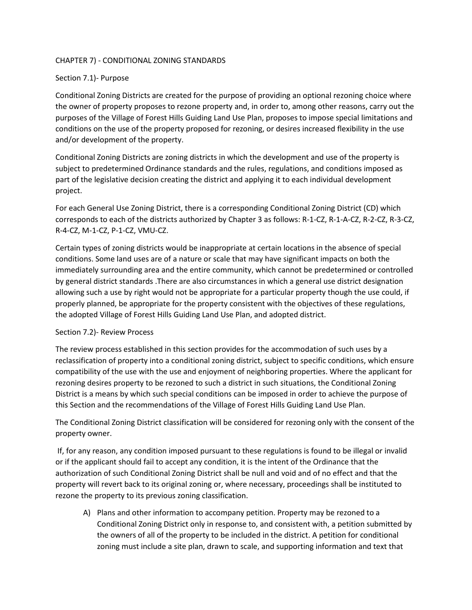## CHAPTER 7) - CONDITIONAL ZONING STANDARDS

## Section 7.1)- Purpose

Conditional Zoning Districts are created for the purpose of providing an optional rezoning choice where the owner of property proposes to rezone property and, in order to, among other reasons, carry out the purposes of the Village of Forest Hills Guiding Land Use Plan, proposes to impose special limitations and conditions on the use of the property proposed for rezoning, or desires increased flexibility in the use and/or development of the property.

Conditional Zoning Districts are zoning districts in which the development and use of the property is subject to predetermined Ordinance standards and the rules, regulations, and conditions imposed as part of the legislative decision creating the district and applying it to each individual development project.

For each General Use Zoning District, there is a corresponding Conditional Zoning District (CD) which corresponds to each of the districts authorized by Chapter 3 as follows: R-1-CZ, R-1-A-CZ, R-2-CZ, R-3-CZ, R-4-CZ, M-1-CZ, P-1-CZ, VMU-CZ.

Certain types of zoning districts would be inappropriate at certain locations in the absence of special conditions. Some land uses are of a nature or scale that may have significant impacts on both the immediately surrounding area and the entire community, which cannot be predetermined or controlled by general district standards .There are also circumstances in which a general use district designation allowing such a use by right would not be appropriate for a particular property though the use could, if properly planned, be appropriate for the property consistent with the objectives of these regulations, the adopted Village of Forest Hills Guiding Land Use Plan, and adopted district.

## Section 7.2)- Review Process

The review process established in this section provides for the accommodation of such uses by a reclassification of property into a conditional zoning district, subject to specific conditions, which ensure compatibility of the use with the use and enjoyment of neighboring properties. Where the applicant for rezoning desires property to be rezoned to such a district in such situations, the Conditional Zoning District is a means by which such special conditions can be imposed in order to achieve the purpose of this Section and the recommendations of the Village of Forest Hills Guiding Land Use Plan.

The Conditional Zoning District classification will be considered for rezoning only with the consent of the property owner.

If, for any reason, any condition imposed pursuant to these regulations is found to be illegal or invalid or if the applicant should fail to accept any condition, it is the intent of the Ordinance that the authorization of such Conditional Zoning District shall be null and void and of no effect and that the property will revert back to its original zoning or, where necessary, proceedings shall be instituted to rezone the property to its previous zoning classification.

A) Plans and other information to accompany petition. Property may be rezoned to a Conditional Zoning District only in response to, and consistent with, a petition submitted by the owners of all of the property to be included in the district. A petition for conditional zoning must include a site plan, drawn to scale, and supporting information and text that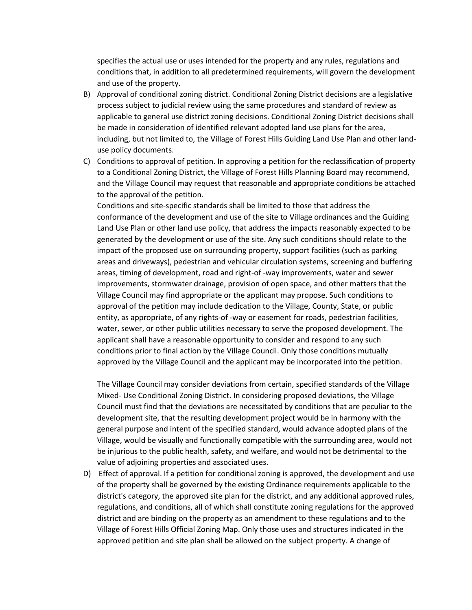specifies the actual use or uses intended for the property and any rules, regulations and conditions that, in addition to all predetermined requirements, will govern the development and use of the property.

- B) Approval of conditional zoning district. Conditional Zoning District decisions are a legislative process subject to judicial review using the same procedures and standard of review as applicable to general use district zoning decisions. Conditional Zoning District decisions shall be made in consideration of identified relevant adopted land use plans for the area, including, but not limited to, the Village of Forest Hills Guiding Land Use Plan and other landuse policy documents.
- C) Conditions to approval of petition. In approving a petition for the reclassification of property to a Conditional Zoning District, the Village of Forest Hills Planning Board may recommend, and the Village Council may request that reasonable and appropriate conditions be attached to the approval of the petition.

Conditions and site-specific standards shall be limited to those that address the conformance of the development and use of the site to Village ordinances and the Guiding Land Use Plan or other land use policy, that address the impacts reasonably expected to be generated by the development or use of the site. Any such conditions should relate to the impact of the proposed use on surrounding property, support facilities (such as parking areas and driveways), pedestrian and vehicular circulation systems, screening and buffering areas, timing of development, road and right-of -way improvements, water and sewer improvements, stormwater drainage, provision of open space, and other matters that the Village Council may find appropriate or the applicant may propose. Such conditions to approval of the petition may include dedication to the Village, County, State, or public entity, as appropriate, of any rights-of -way or easement for roads, pedestrian facilities, water, sewer, or other public utilities necessary to serve the proposed development. The applicant shall have a reasonable opportunity to consider and respond to any such conditions prior to final action by the Village Council. Only those conditions mutually approved by the Village Council and the applicant may be incorporated into the petition.

The Village Council may consider deviations from certain, specified standards of the Village Mixed- Use Conditional Zoning District. In considering proposed deviations, the Village Council must find that the deviations are necessitated by conditions that are peculiar to the development site, that the resulting development project would be in harmony with the general purpose and intent of the specified standard, would advance adopted plans of the Village, would be visually and functionally compatible with the surrounding area, would not be injurious to the public health, safety, and welfare, and would not be detrimental to the value of adjoining properties and associated uses.

D) Effect of approval. If a petition for conditional zoning is approved, the development and use of the property shall be governed by the existing Ordinance requirements applicable to the district's category, the approved site plan for the district, and any additional approved rules, regulations, and conditions, all of which shall constitute zoning regulations for the approved district and are binding on the property as an amendment to these regulations and to the Village of Forest Hills Official Zoning Map. Only those uses and structures indicated in the approved petition and site plan shall be allowed on the subject property. A change of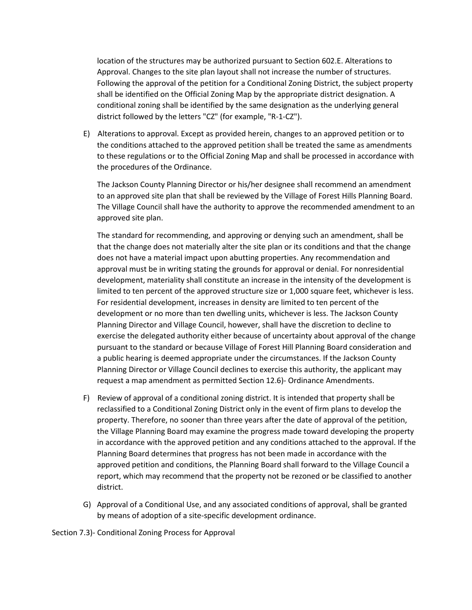location of the structures may be authorized pursuant to Section 602.E. Alterations to Approval. Changes to the site plan layout shall not increase the number of structures. Following the approval of the petition for a Conditional Zoning District, the subject property shall be identified on the Official Zoning Map by the appropriate district designation. A conditional zoning shall be identified by the same designation as the underlying general district followed by the letters "CZ" (for example, "R-1-CZ").

E) Alterations to approval. Except as provided herein, changes to an approved petition or to the conditions attached to the approved petition shall be treated the same as amendments to these regulations or to the Official Zoning Map and shall be processed in accordance with the procedures of the Ordinance.

The Jackson County Planning Director or his/her designee shall recommend an amendment to an approved site plan that shall be reviewed by the Village of Forest Hills Planning Board. The Village Council shall have the authority to approve the recommended amendment to an approved site plan.

The standard for recommending, and approving or denying such an amendment, shall be that the change does not materially alter the site plan or its conditions and that the change does not have a material impact upon abutting properties. Any recommendation and approval must be in writing stating the grounds for approval or denial. For nonresidential development, materiality shall constitute an increase in the intensity of the development is limited to ten percent of the approved structure size or 1,000 square feet, whichever is less. For residential development, increases in density are limited to ten percent of the development or no more than ten dwelling units, whichever is less. The Jackson County Planning Director and Village Council, however, shall have the discretion to decline to exercise the delegated authority either because of uncertainty about approval of the change pursuant to the standard or because Village of Forest Hill Planning Board consideration and a public hearing is deemed appropriate under the circumstances. If the Jackson County Planning Director or Village Council declines to exercise this authority, the applicant may request a map amendment as permitted Section 12.6)- Ordinance Amendments.

- F) Review of approval of a conditional zoning district. It is intended that property shall be reclassified to a Conditional Zoning District only in the event of firm plans to develop the property. Therefore, no sooner than three years after the date of approval of the petition, the Village Planning Board may examine the progress made toward developing the property in accordance with the approved petition and any conditions attached to the approval. If the Planning Board determines that progress has not been made in accordance with the approved petition and conditions, the Planning Board shall forward to the Village Council a report, which may recommend that the property not be rezoned or be classified to another district.
- G) Approval of a Conditional Use, and any associated conditions of approval, shall be granted by means of adoption of a site-specific development ordinance.

Section 7.3)- Conditional Zoning Process for Approval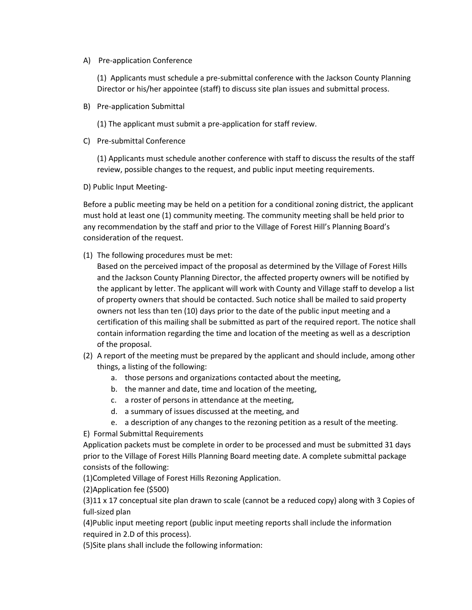A) Pre-application Conference

(1) Applicants must schedule a pre-submittal conference with the Jackson County Planning Director or his/her appointee (staff) to discuss site plan issues and submittal process.

B) Pre-application Submittal

(1) The applicant must submit a pre-application for staff review.

C) Pre-submittal Conference

(1) Applicants must schedule another conference with staff to discuss the results of the staff review, possible changes to the request, and public input meeting requirements.

D) Public Input Meeting-

Before a public meeting may be held on a petition for a conditional zoning district, the applicant must hold at least one (1) community meeting. The community meeting shall be held prior to any recommendation by the staff and prior to the Village of Forest Hill's Planning Board's consideration of the request.

(1) The following procedures must be met:

Based on the perceived impact of the proposal as determined by the Village of Forest Hills and the Jackson County Planning Director, the affected property owners will be notified by the applicant by letter. The applicant will work with County and Village staff to develop a list of property owners that should be contacted. Such notice shall be mailed to said property owners not less than ten (10) days prior to the date of the public input meeting and a certification of this mailing shall be submitted as part of the required report. The notice shall contain information regarding the time and location of the meeting as well as a description of the proposal.

- (2) A report of the meeting must be prepared by the applicant and should include, among other things, a listing of the following:
	- a. those persons and organizations contacted about the meeting,
	- b. the manner and date, time and location of the meeting,
	- c. a roster of persons in attendance at the meeting,
	- d. a summary of issues discussed at the meeting, and
	- e. a description of any changes to the rezoning petition as a result of the meeting.

E) Formal Submittal Requirements

Application packets must be complete in order to be processed and must be submitted 31 days prior to the Village of Forest Hills Planning Board meeting date. A complete submittal package consists of the following:

(1)Completed Village of Forest Hills Rezoning Application.

(2)Application fee (\$500)

 $(3)11 \times 17$  conceptual site plan drawn to scale (cannot be a reduced copy) along with 3 Copies of full-sized plan

(4)Public input meeting report (public input meeting reports shall include the information required in 2.D of this process).

(5)Site plans shall include the following information: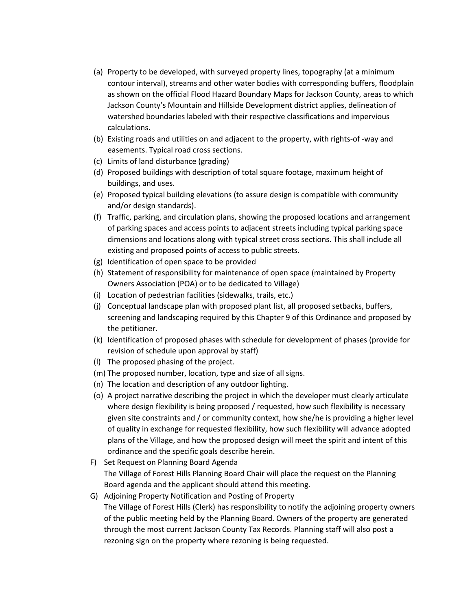- (a) Property to be developed, with surveyed property lines, topography (at a minimum contour interval), streams and other water bodies with corresponding buffers, floodplain as shown on the official Flood Hazard Boundary Maps for Jackson County, areas to which Jackson County's Mountain and Hillside Development district applies, delineation of watershed boundaries labeled with their respective classifications and impervious calculations.
- (b) Existing roads and utilities on and adjacent to the property, with rights-of -way and easements. Typical road cross sections.
- (c) Limits of land disturbance (grading)
- (d) Proposed buildings with description of total square footage, maximum height of buildings, and uses.
- (e) Proposed typical building elevations (to assure design is compatible with community and/or design standards).
- (f) Traffic, parking, and circulation plans, showing the proposed locations and arrangement of parking spaces and access points to adjacent streets including typical parking space dimensions and locations along with typical street cross sections. This shall include all existing and proposed points of access to public streets.
- (g) Identification of open space to be provided
- (h) Statement of responsibility for maintenance of open space (maintained by Property Owners Association (POA) or to be dedicated to Village)
- (i) Location of pedestrian facilities (sidewalks, trails, etc.)
- (j) Conceptual landscape plan with proposed plant list, all proposed setbacks, buffers, screening and landscaping required by this Chapter 9 of this Ordinance and proposed by the petitioner.
- (k) Identification of proposed phases with schedule for development of phases (provide for revision of schedule upon approval by staff)
- (l) The proposed phasing of the project.
- (m) The proposed number, location, type and size of all signs.
- (n) The location and description of any outdoor lighting.
- (o) A project narrative describing the project in which the developer must clearly articulate where design flexibility is being proposed / requested, how such flexibility is necessary given site constraints and / or community context, how she/he is providing a higher level of quality in exchange for requested flexibility, how such flexibility will advance adopted plans of the Village, and how the proposed design will meet the spirit and intent of this ordinance and the specific goals describe herein.
- F) Set Request on Planning Board Agenda The Village of Forest Hills Planning Board Chair will place the request on the Planning Board agenda and the applicant should attend this meeting.
- G) Adjoining Property Notification and Posting of Property The Village of Forest Hills (Clerk) has responsibility to notify the adjoining property owners of the public meeting held by the Planning Board. Owners of the property are generated through the most current Jackson County Tax Records. Planning staff will also post a rezoning sign on the property where rezoning is being requested.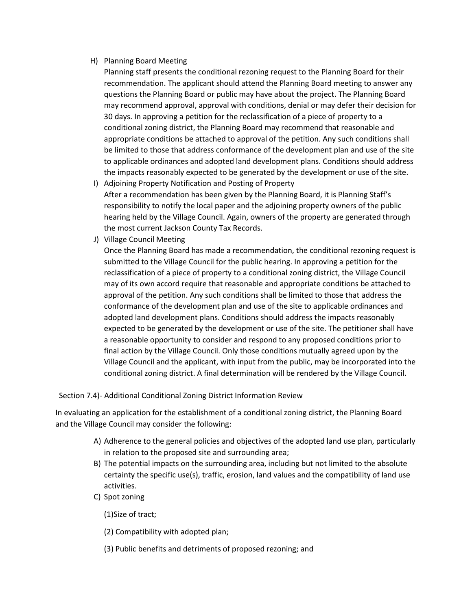## H) Planning Board Meeting

- Planning staff presents the conditional rezoning request to the Planning Board for their recommendation. The applicant should attend the Planning Board meeting to answer any questions the Planning Board or public may have about the project. The Planning Board may recommend approval, approval with conditions, denial or may defer their decision for 30 days. In approving a petition for the reclassification of a piece of property to a conditional zoning district, the Planning Board may recommend that reasonable and appropriate conditions be attached to approval of the petition. Any such conditions shall be limited to those that address conformance of the development plan and use of the site to applicable ordinances and adopted land development plans. Conditions should address the impacts reasonably expected to be generated by the development or use of the site.
- I) Adjoining Property Notification and Posting of Property After a recommendation has been given by the Planning Board, it is Planning Staff's responsibility to notify the local paper and the adjoining property owners of the public hearing held by the Village Council. Again, owners of the property are generated through the most current Jackson County Tax Records.
- J) Village Council Meeting

Once the Planning Board has made a recommendation, the conditional rezoning request is submitted to the Village Council for the public hearing. In approving a petition for the reclassification of a piece of property to a conditional zoning district, the Village Council may of its own accord require that reasonable and appropriate conditions be attached to approval of the petition. Any such conditions shall be limited to those that address the conformance of the development plan and use of the site to applicable ordinances and adopted land development plans. Conditions should address the impacts reasonably expected to be generated by the development or use of the site. The petitioner shall have a reasonable opportunity to consider and respond to any proposed conditions prior to final action by the Village Council. Only those conditions mutually agreed upon by the Village Council and the applicant, with input from the public, may be incorporated into the conditional zoning district. A final determination will be rendered by the Village Council.

Section 7.4)- Additional Conditional Zoning District Information Review

In evaluating an application for the establishment of a conditional zoning district, the Planning Board and the Village Council may consider the following:

- A) Adherence to the general policies and objectives of the adopted land use plan, particularly in relation to the proposed site and surrounding area;
- B) The potential impacts on the surrounding area, including but not limited to the absolute certainty the specific use(s), traffic, erosion, land values and the compatibility of land use activities.
- C) Spot zoning
	- (1)Size of tract;
	- (2) Compatibility with adopted plan;
	- (3) Public benefits and detriments of proposed rezoning; and